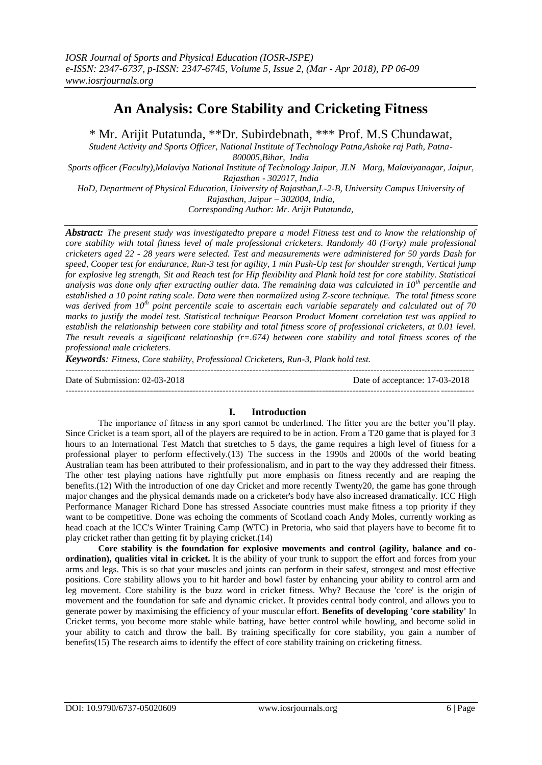# **An Analysis: Core Stability and Cricketing Fitness**

\* Mr. Arijit Putatunda, \*\*Dr. Subirdebnath, \*\*\* Prof. M.S Chundawat,

*Student Activity and Sports Officer, National Institute of Technology Patna,Ashoke raj Path, Patna-800005,Bihar, India*

*Sports officer (Faculty),Malaviya National Institute of Technology Jaipur, JLN Marg, Malaviyanagar, Jaipur, Rajasthan - 302017, India*

*HoD, Department of Physical Education, University of Rajasthan,L-2-B, University Campus University of Rajasthan, Jaipur – 302004, India,*

*Corresponding Author: Mr. Arijit Putatunda,*

*Abstract: The present study was investigatedto prepare a model Fitness test and to know the relationship of core stability with total fitness level of male professional cricketers. Randomly 40 (Forty) male professional cricketers aged 22 - 28 years were selected. Test and measurements were administered for 50 yards Dash for speed, Cooper test for endurance, Run-3 test for agility, 1 min Push-Up test for shoulder strength, Vertical jump for explosive leg strength, Sit and Reach test for Hip flexibility and Plank hold test for core stability. Statistical analysis was done only after extracting outlier data. The remaining data was calculated in 10th percentile and established a 10 point rating scale. Data were then normalized using Z-score technique. The total fitness score was derived from 10th point percentile scale to ascertain each variable separately and calculated out of 70 marks to justify the model test. Statistical technique Pearson Product Moment correlation test was applied to establish the relationship between core stability and total fitness score of professional cricketers, at 0.01 level. The result reveals a significant relationship (r=.674) between core stability and total fitness scores of the professional male cricketers.*

*Keywords: Fitness, Core stability, Professional Cricketers, Run-3, Plank hold test.*

| Date of Submission: 02-03-2018 | Date of acceptance: 17-03-2018 |
|--------------------------------|--------------------------------|
|                                |                                |

### **I. Introduction**

The importance of fitness in any sport cannot be underlined. The fitter you are the better you'll play. Since Cricket is a team sport, all of the players are required to be in action. From a T20 game that is played for 3 hours to an International Test Match that stretches to 5 days, the game requires a high level of fitness for a professional player to perform effectively.(13) The success in the 1990s and 2000s of the world beating Australian team has been attributed to their professionalism, and in part to the way they addressed their fitness. The other test playing nations have rightfully put more emphasis on fitness recently and are reaping the benefits.(12) With the introduction of one day Cricket and more recently Twenty20, the game has gone through major changes and the physical demands made on a cricketer's body have also increased dramatically. ICC High Performance Manager Richard Done has stressed Associate countries must make fitness a top priority if they want to be competitive. Done was echoing the comments of Scotland coach Andy Moles, currently working as head coach at the ICC's Winter Training Camp (WTC) in Pretoria, who said that players have to become fit to play cricket rather than getting fit by playing cricket.(14)

**Core stability is the foundation for explosive movements and control (agility, balance and coordination), qualities vital in cricket.** It is the ability of your trunk to support the effort and forces from your arms and legs. This is so that your muscles and joints can perform in their safest, strongest and most effective positions. Core stability allows you to hit harder and bowl faster by enhancing your ability to control arm and leg movement. Core stability is the buzz word in cricket fitness. Why? Because the 'core' is the origin of movement and the foundation for safe and dynamic cricket. It provides central body control, and allows you to generate power by maximising the efficiency of your muscular effort. **Benefits of developing 'core stability'** In Cricket terms, you become more stable while batting, have better control while bowling, and become solid in your ability to catch and throw the ball. By training specifically for core stability, you gain a number of benefits(15) The research aims to identify the effect of core stability training on cricketing fitness.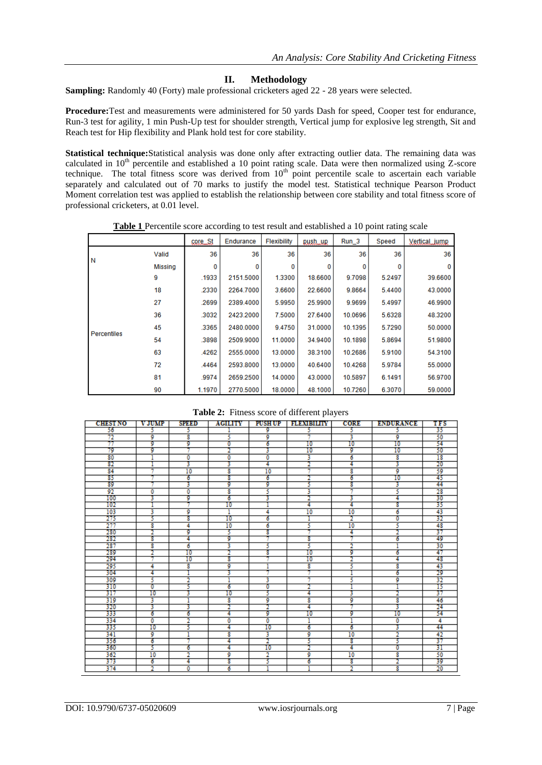## **II. Methodology**

**Sampling:** Randomly 40 (Forty) male professional cricketers aged 22 - 28 years were selected.

**Procedure:**Test and measurements were administered for 50 yards Dash for speed, Cooper test for endurance, Run-3 test for agility, 1 min Push-Up test for shoulder strength, Vertical jump for explosive leg strength, Sit and Reach test for Hip flexibility and Plank hold test for core stability.

**Statistical technique:**Statistical analysis was done only after extracting outlier data. The remaining data was calculated in 10<sup>th</sup> percentile and established a 10 point rating scale. Data were then normalized using Z-score technique. The total fitness score was derived from  $10<sup>th</sup>$  point percentile scale to ascertain each variable separately and calculated out of 70 marks to justify the model test. Statistical technique Pearson Product Moment correlation test was applied to establish the relationship between core stability and total fitness score of professional cricketers, at 0.01 level.

|             |         | coreSt | Endurance | Flexibility | push_up | $Run_3$ | Speed  | Vertical_jump |
|-------------|---------|--------|-----------|-------------|---------|---------|--------|---------------|
|             | Valid   | 36     | 36        | 36          | 36      | 36      | 36     | 36            |
| N           | Missing | 0      | 0         | 0           | 0       | 0       | 0      | $\Omega$      |
|             | 9       | .1933  | 2151.5000 | 1.3300      | 18.6600 | 9.7098  | 5.2497 | 39.6600       |
|             | 18      | .2330  | 2264.7000 | 3.6600      | 22.6600 | 9.8664  | 5.4400 | 43.0000       |
|             | 27      | .2699  | 2389.4000 | 5.9950      | 25.9900 | 9.9699  | 5.4997 | 46.9900       |
|             | 36      | .3032  | 2423.2000 | 7.5000      | 27.6400 | 10.0696 | 5.6328 | 48.3200       |
| Percentiles | 45      | .3365  | 2480.0000 | 9.4750      | 31.0000 | 10.1395 | 5.7290 | 50.0000       |
|             | 54      | .3898  | 2509.9000 | 11.0000     | 34.9400 | 10.1898 | 5.8694 | 51.9800       |
|             | 63      | .4262  | 2555.0000 | 13.0000     | 38.3100 | 10.2686 | 5.9100 | 54.3100       |
|             | 72      | .4464  | 2593.8000 | 13.0000     | 40.6400 | 10.4268 | 5.9784 | 55.0000       |
|             | 81      | .9974  | 2659.2500 | 14.0000     | 43.0000 | 10.5897 | 6.1491 | 56.9700       |
|             | 90      | 1.1970 | 2770.5000 | 18.0000     | 48.1000 | 10.7260 | 6.3070 | 59.0000       |

**Table 1** Percentile score according to test result and established a 10 point rating scale

**Table 2:** Fitness score of different players

| <b>CHEST NO</b> | <b>VJUMP</b> | spaan | <b>ACILITY</b> | PUSH UP                 | <b>BERMISHARY</b> | <b>CORE</b> | <b>ENDURANCE</b> | TFS |
|-----------------|--------------|-------|----------------|-------------------------|-------------------|-------------|------------------|-----|
| 56              | 5            | ۰,    |                | 9                       | 5                 | 5           | 5                | 35  |
| 72              | 9            | 8     | 5              | 9                       |                   | 3           | 9                | 50  |
| 77              | 9            | 9     | o              | 6                       | 10                | 10          | 10               | 54  |
| 79              | 9            |       |                | 3                       | 10                | 9           | 10               | 50  |
| 80              |              | ٥     | ٥              | 0                       | 3                 | 6           | 8                | 18  |
| 82              |              | 3     | 3              | 4                       |                   | 4           | 3                | 20  |
| $\overline{84}$ |              | 10    | 8              | 10                      |                   | 8           | 9                | 59  |
| 85              |              | 6     | 8              | ъ                       |                   | ъ           | 10               | 45  |
| 89              |              | 3     | 9              | 9                       | 5                 | 8           | 3                | 44  |
| 92              | ٥            | ٥     | g              | 5                       | 3                 | 7           | 5                | 28  |
| 100             | 3            | 9     | б              | 3                       |                   | 3           | 4                | 30  |
| 102             |              |       | 10             |                         | 4                 | 4           | 8                | 35  |
| 103             | 3            | 9     |                | 4                       | 10                | 10          | 6                | 43  |
| 275             | 5            | 8     | 10             | 6                       |                   |             | Ō                | 32  |
| 277             | g            | 4     | 10             | 6                       | 5                 | 10          | 5                | 48  |
| 280             |              | g     | 5              | τ                       |                   | 4           |                  | 37  |
| 282             | g            | 4     | 9              |                         | 8                 |             | б                | 49  |
| 287             | 8            | 6     | 3              | 5                       | 5                 | 2           |                  | 30  |
| 289             | ٠            | 10    |                | 8                       | 10                | 9           | 6                | 47  |
| 294             |              | 10    | 8              |                         | 10                | 2           | 4                | 48  |
| 295             | 4            | g     | ø              |                         | 8                 | 5           | g                | 43  |
| 304             | 4            |       | 3              |                         |                   |             | 6                | 29  |
| 309             | 5            | ٠     |                | 3                       | a                 | 5           | 9                | 32  |
| 310             | o            | 5     | 6              | 0                       |                   |             |                  | 15  |
| 317             | 10           | 3     | 10             | 5                       | 4                 | з           | 2                | 37  |
| 319             | 3            |       | 8              | 9                       | 8                 | 9           | 8                | 46  |
| 320             | 3            | 3     | 2              | 2                       | 4                 |             | 3                | 24  |
| 333             | б            | 6     | 4              | 9                       | 10                | 9           | 10               | 54  |
| 334             | ٥            | 7     | ٥              | 0                       |                   | ٦           | ٥                | 4   |
| 335             | 10           | 5     | 4              | 10                      | 6                 | 6           | 3                | 44  |
| 341             | 9            |       | 8              | 3                       | o                 | 10          | 2                | 42  |
| 356             | 6            |       | 4              | 2                       | 5                 | 8           | 5                | 37  |
| 360             | 5            | 6     | 4              | 10                      |                   | 4           | o                | 31  |
| 362             | 10           | 2     | 9              | $\overline{\mathbf{2}}$ | 9                 | 10          | 8                | 50  |
| 373             | б            | 4     | g              | 5                       | 6                 | 8           |                  | 39  |
| 374             | 7            | ٥     | 6              |                         |                   | 2           | 8                | 20  |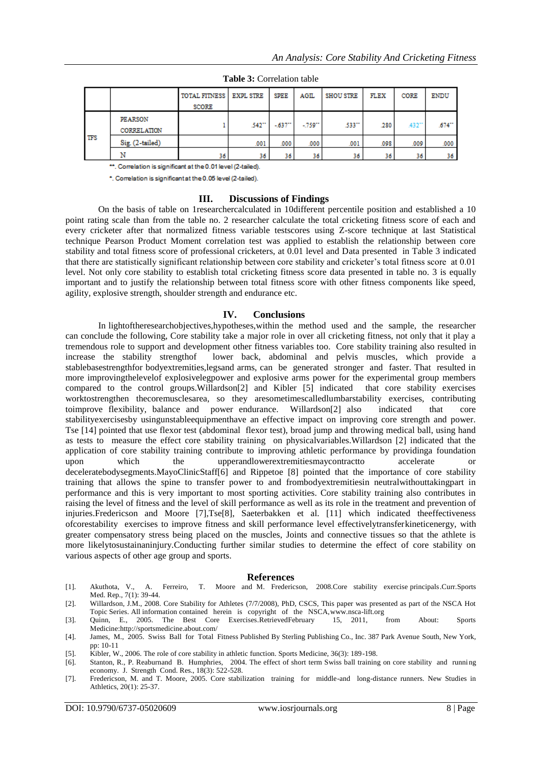|            |                               | TOTAL FITNESS<br><b>SCORE</b> | <b>EXPL STRE</b> | <b>SPEE</b> | <b>AGIL</b> | <b>SHOU STRE</b> | FLEX | CORE               | <b>ENDU</b>         |
|------------|-------------------------------|-------------------------------|------------------|-------------|-------------|------------------|------|--------------------|---------------------|
| <b>TFS</b> | <b>PEARSON</b><br>CORRELATION |                               | .542**           | $-637$      | $-759$      | .533**           | 280  | .432 <sup>**</sup> | $674$ <sup>**</sup> |
|            | Sig. (2-tailed)               |                               | .001             | .000        | .000        | .001             | .098 | .009               | .000                |
|            | Ν                             | 36                            | 36               | 36          | 36          | 36               | 36   | 36                 | 36                  |

**Table 3:** Correlation table

\*\*. Correlation is significant at the 0.01 level (2-tailed).

\*. Correlation is significant at the 0.05 level (2-tailed).

#### **III. Discussions of Findings**

On the basis of table on 1researchercalculated in 10different percentile position and established a 10 point rating scale than from the table no. 2 researcher calculate the total cricketing fitness score of each and every cricketer after that normalized fitness variable testscores using Z-score technique at last Statistical technique Pearson Product Moment correlation test was applied to establish the relationship between core stability and total fitness score of professional cricketers, at 0.01 level and Data presented in Table 3 indicated that there are statistically significant relationship between core stability and cricketer's total fitness score at 0.01 level. Not only core stability to establish total cricketing fitness score data presented in table no. 3 is equally important and to justify the relationship between total fitness score with other fitness components like speed, agility, explosive strength, shoulder strength and endurance etc.

#### **IV. Conclusions**

In lightoftheresearchobjectives,hypotheses,within the method used and the sample, the researcher can conclude the following, Core stability take a major role in over all cricketing fitness, not only that it play a tremendous role to support and development other fitness variables too. Core stability training also resulted in increase the stability strengthof lower back, abdominal and pelvis muscles, which provide a stablebasestrengthfor bodyextremities,legsand arms, can be generated stronger and faster. That resulted in more improvingthelevelof explosivelegpower and explosive arms power for the experimental group members compared to the control groups.Willardson[2] and Kibler [5] indicated that core stability exercises worktostrengthen thecoremusclesarea, so they aresometimescalledlumbarstability exercises, contributing toimprove flexibility, balance and power endurance. Willardson[2] also indicated that core stabilityexercisesby usingunstableequipmenthave an effective impact on improving core strength and power. Tse [14] pointed that use flexor test (abdominal flexor test), broad jump and throwing medical ball, using hand as tests to measure the effect core stability training on physicalvariables.Willardson [2] indicated that the application of core stability training contribute to improving athletic performance by providinga foundation upon which the upperandlowerextremitiesmaycontractto accelerate deceleratebodysegments.MayoClinicStaff[6] and Rippetoe [8] pointed that the importance of core stability training that allows the spine to transfer power to and frombodyextremitiesin neutralwithouttakingpart in performance and this is very important to most sporting activities. Core stability training also contributes in raising the level of fitness and the level of skill performance as well as its role in the treatment and prevention of injuries.Fredericson and Moore [7],Tse[8], Saeterbakken et al. [11] which indicated theeffectiveness ofcorestability exercises to improve fitness and skill performance level effectivelytransferkineticenergy, with greater compensatory stress being placed on the muscles, Joints and connective tissues so that the athlete is more likelytosustainaninjury.Conducting further similar studies to determine the effect of core stability on various aspects of other age group and sports.

#### **References**

- [1]. Akuthota, V., A. Ferreiro, T. Moore and M. Fredericson, 2008.Core stability exercise principals.Curr.Sports Med. Rep., 7(1): 39-44.
- [2]. Willardson, J.M., 2008. Core Stability for Athletes (7/7/2008), PhD, CSCS, This paper was presented as part of the NSCA Hot Topic Series. All information contained herein is copyright of the NSCA[,www.nsca-lift.org](http://www.nsca-lift.org/)
- [3]. Quinn, E., 2005. The Best Core Exercises.RetrievedFebruary 15, 2011, from About: Sports Medicine[:http://sportsmedicine.about.com/](http://sportsmedicine.about.com/)
- [4]. James, M., 2005. Swiss Ball for Total Fitness Published By Sterling Publishing Co., Inc. 387 Park Avenue South, New York, pp: 10-11
- [5]. Kibler, W., 2006. The role of core stability in athletic function. Sports Medicine, 36(3): 189-198.
- [6]. Stanton, R., P. Reaburnand B. Humphries, 2004. The effect of short term Swiss ball training on core stability and running economy. J. Strength Cond. Res., 18(3): 522-528.
- [7]. Fredericson, M. and T. Moore, 2005. Core stabilization training for middle-and long-distance runners. New Studies in Athletics, 20(1): 25-37.